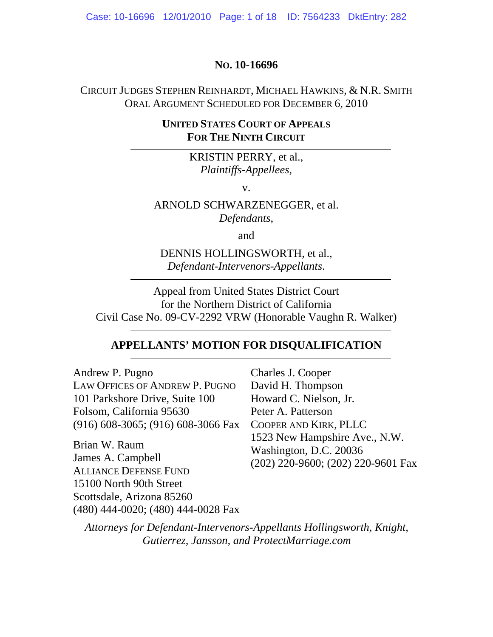Case: 10-16696 12/01/2010 Page: 1 of 18 ID: 7564233 DktEntry: 282

#### **NO. 10-16696**

## CIRCUIT JUDGES STEPHEN REINHARDT, MICHAEL HAWKINS, & N.R. SMITH ORAL ARGUMENT SCHEDULED FOR DECEMBER 6, 2010

## **UNITED STATES COURT OF APPEALS FOR THE NINTH CIRCUIT**

KRISTIN PERRY, et al., *Plaintiffs-Appellees*,

v.

ARNOLD SCHWARZENEGGER, et al. *Defendants*,

and

DENNIS HOLLINGSWORTH, et al., *Defendant-Intervenors-Appellants*.

Appeal from United States District Court for the Northern District of California Civil Case No. 09-CV-2292 VRW (Honorable Vaughn R. Walker)

#### **APPELLANTS' MOTION FOR DISQUALIFICATION**

Andrew P. Pugno LAW OFFICES OF ANDREW P. PUGNO 101 Parkshore Drive, Suite 100 Folsom, California 95630 (916) 608-3065; (916) 608-3066 Fax

Brian W. Raum James A. Campbell ALLIANCE DEFENSE FUND 15100 North 90th Street Scottsdale, Arizona 85260 (480) 444-0020; (480) 444-0028 Fax

Charles J. Cooper David H. Thompson Howard C. Nielson, Jr. Peter A. Patterson COOPER AND KIRK, PLLC 1523 New Hampshire Ave., N.W. Washington, D.C. 20036 (202) 220-9600; (202) 220-9601 Fax

*Attorneys for Defendant-Intervenors-Appellants Hollingsworth, Knight, Gutierrez, Jansson, and ProtectMarriage.com*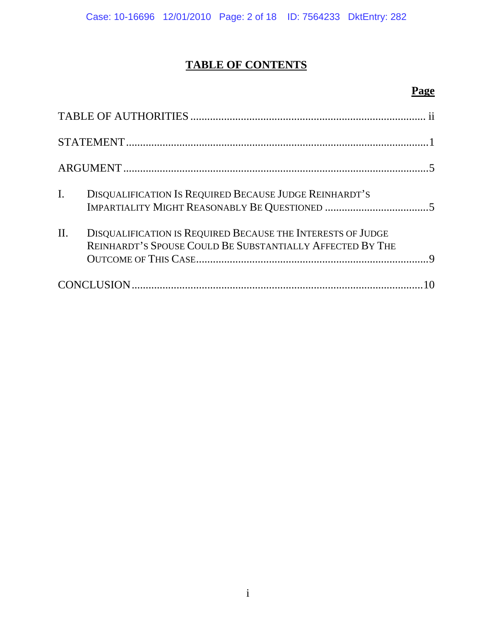# **TABLE OF CONTENTS**

## **Page**

| $\mathbf{I}$ .<br>DISQUALIFICATION IS REQUIRED BECAUSE JUDGE REINHARDT'S                                                        |  |
|---------------------------------------------------------------------------------------------------------------------------------|--|
| II.<br>DISQUALIFICATION IS REQUIRED BECAUSE THE INTERESTS OF JUDGE<br>REINHARDT'S SPOUSE COULD BE SUBSTANTIALLY AFFECTED BY THE |  |
|                                                                                                                                 |  |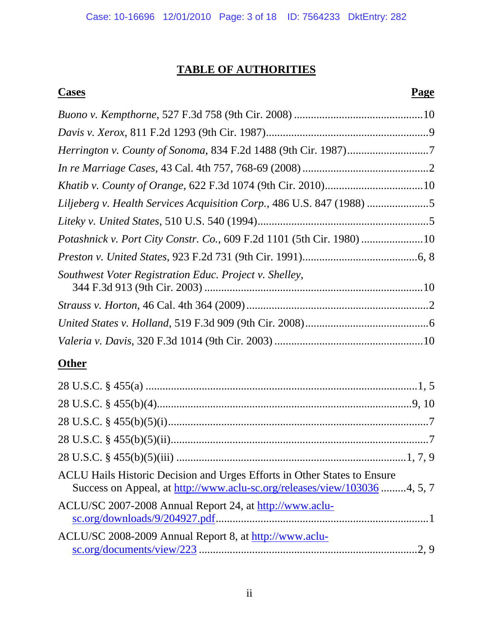# **TABLE OF AUTHORITIES**

## **Cases** Page

| Liljeberg v. Health Services Acquisition Corp., 486 U.S. 847 (1988) 5 |  |
|-----------------------------------------------------------------------|--|
|                                                                       |  |
| Potashnick v. Port City Constr. Co., 609 F.2d 1101 (5th Cir. 1980)10  |  |
|                                                                       |  |
| Southwest Voter Registration Educ. Project v. Shelley,                |  |
|                                                                       |  |
|                                                                       |  |
|                                                                       |  |
|                                                                       |  |

## **Other**

| ACLU Hails Historic Decision and Urges Efforts in Other States to Ensure<br>Success on Appeal, at http://www.aclu-sc.org/releases/view/103036 4, 5, 7 |  |
|-------------------------------------------------------------------------------------------------------------------------------------------------------|--|
| ACLU/SC 2007-2008 Annual Report 24, at http://www.aclu-                                                                                               |  |
| ACLU/SC 2008-2009 Annual Report 8, at http://www.aclu-                                                                                                |  |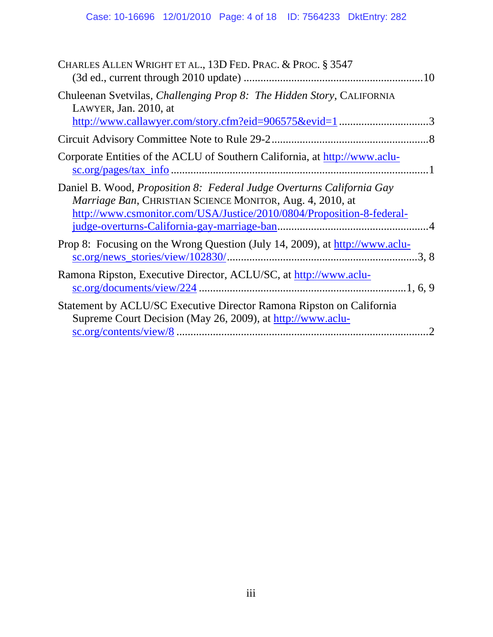| CHARLES ALLEN WRIGHT ET AL., 13D FED. PRAC. & PROC. § 3547                                                                                                                                                         |  |
|--------------------------------------------------------------------------------------------------------------------------------------------------------------------------------------------------------------------|--|
| Chuleenan Svetvilas, Challenging Prop 8: The Hidden Story, CALIFORNIA<br>LAWYER, Jan. 2010, at                                                                                                                     |  |
| http://www.callawyer.com/story.cfm?eid=906575&evid=13                                                                                                                                                              |  |
|                                                                                                                                                                                                                    |  |
| Corporate Entities of the ACLU of Southern California, at http://www.aclu-                                                                                                                                         |  |
| Daniel B. Wood, <i>Proposition 8: Federal Judge Overturns California Gay</i><br>Marriage Ban, CHRISTIAN SCIENCE MONITOR, Aug. 4, 2010, at<br>http://www.csmonitor.com/USA/Justice/2010/0804/Proposition-8-federal- |  |
| Prop 8: Focusing on the Wrong Question (July 14, 2009), at http://www.aclu-<br>$\text{sc.org/news\_stories/view/102830/}$                                                                                          |  |
| Ramona Ripston, Executive Director, ACLU/SC, at http://www.aclu-                                                                                                                                                   |  |
| Statement by ACLU/SC Executive Director Ramona Ripston on California<br>Supreme Court Decision (May 26, 2009), at http://www.aclu-                                                                                 |  |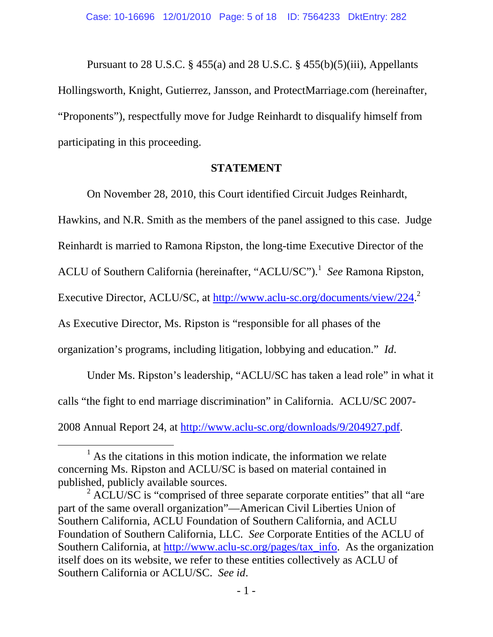Pursuant to 28 U.S.C. § 455(a) and 28 U.S.C. § 455(b)(5)(iii), Appellants Hollingsworth, Knight, Gutierrez, Jansson, and ProtectMarriage.com (hereinafter, "Proponents"), respectfully move for Judge Reinhardt to disqualify himself from participating in this proceeding.

#### **STATEMENT**

On November 28, 2010, this Court identified Circuit Judges Reinhardt,

Hawkins, and N.R. Smith as the members of the panel assigned to this case. Judge

Reinhardt is married to Ramona Ripston, the long-time Executive Director of the

ACLU of Southern California (hereinafter, "ACLU/SC").<sup>1</sup> See Ramona Ripston,

Executive Director, ACLU/SC, at http://www.aclu-sc.org/documents/view/224.<sup>2</sup>

As Executive Director, Ms. Ripston is "responsible for all phases of the

organization's programs, including litigation, lobbying and education." *Id*.

 Under Ms. Ripston's leadership, "ACLU/SC has taken a lead role" in what it calls "the fight to end marriage discrimination" in California. ACLU/SC 2007- 2008 Annual Report 24, at http://www.aclu-sc.org/downloads/9/204927.pdf.

 $\frac{1}{1}$  $<sup>1</sup>$  As the citations in this motion indicate, the information we relate</sup> concerning Ms. Ripston and ACLU/SC is based on material contained in published, publicly available sources.

 $2$  ACLU/SC is "comprised of three separate corporate entities" that all "are part of the same overall organization"—American Civil Liberties Union of Southern California, ACLU Foundation of Southern California, and ACLU Foundation of Southern California, LLC. *See* Corporate Entities of the ACLU of Southern California, at http://www.aclu-sc.org/pages/tax\_info. As the organization itself does on its website, we refer to these entities collectively as ACLU of Southern California or ACLU/SC. *See id*.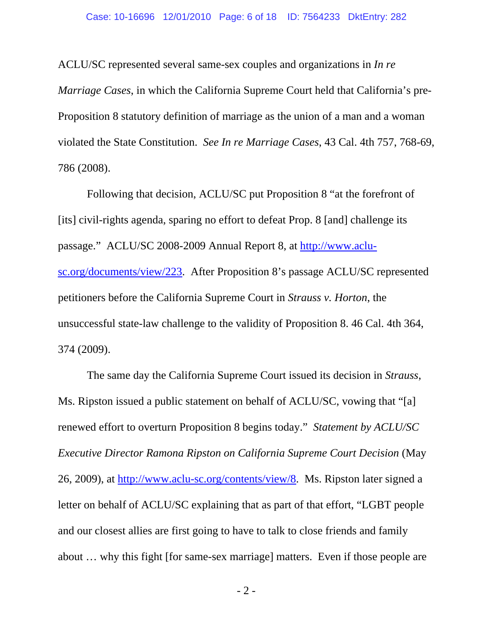ACLU/SC represented several same-sex couples and organizations in *In re Marriage Cases*, in which the California Supreme Court held that California's pre-Proposition 8 statutory definition of marriage as the union of a man and a woman violated the State Constitution. *See In re Marriage Cases*, 43 Cal. 4th 757, 768-69, 786 (2008).

Following that decision, ACLU/SC put Proposition 8 "at the forefront of [its] civil-rights agenda, sparing no effort to defeat Prop. 8 [and] challenge its passage." ACLU/SC 2008-2009 Annual Report 8, at http://www.aclusc.org/documents/view/223. After Proposition 8's passage ACLU/SC represented petitioners before the California Supreme Court in *Strauss v. Horton*, the unsuccessful state-law challenge to the validity of Proposition 8. 46 Cal. 4th 364, 374 (2009).

 The same day the California Supreme Court issued its decision in *Strauss*, Ms. Ripston issued a public statement on behalf of ACLU/SC, vowing that "[a] renewed effort to overturn Proposition 8 begins today." *Statement by ACLU/SC Executive Director Ramona Ripston on California Supreme Court Decision* (May 26, 2009), at http://www.aclu-sc.org/contents/view/8. Ms. Ripston later signed a letter on behalf of ACLU/SC explaining that as part of that effort, "LGBT people and our closest allies are first going to have to talk to close friends and family about … why this fight [for same-sex marriage] matters. Even if those people are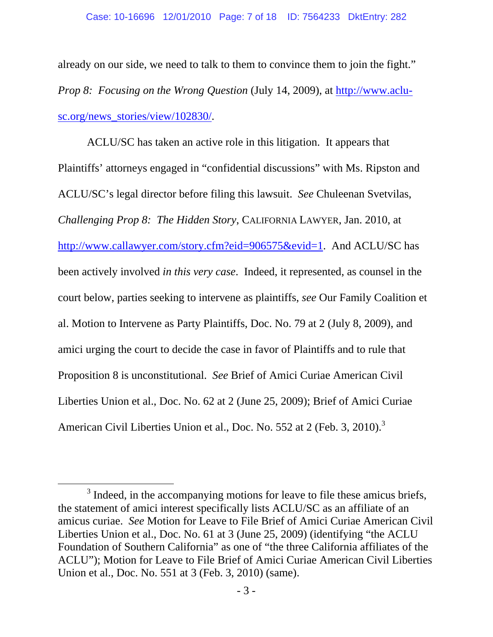already on our side, we need to talk to them to convince them to join the fight." *Prop 8: Focusing on the Wrong Question (July 14, 2009), at http://www.aclu*sc.org/news\_stories/view/102830/.

 ACLU/SC has taken an active role in this litigation. It appears that Plaintiffs' attorneys engaged in "confidential discussions" with Ms. Ripston and ACLU/SC's legal director before filing this lawsuit. *See* Chuleenan Svetvilas, *Challenging Prop 8: The Hidden Story*, CALIFORNIA LAWYER, Jan. 2010, at http://www.callawyer.com/story.cfm?eid=906575&evid=1. And ACLU/SC has been actively involved *in this very case*. Indeed, it represented, as counsel in the court below, parties seeking to intervene as plaintiffs, *see* Our Family Coalition et al. Motion to Intervene as Party Plaintiffs, Doc. No. 79 at 2 (July 8, 2009), and amici urging the court to decide the case in favor of Plaintiffs and to rule that Proposition 8 is unconstitutional. *See* Brief of Amici Curiae American Civil Liberties Union et al., Doc. No. 62 at 2 (June 25, 2009); Brief of Amici Curiae American Civil Liberties Union et al., Doc. No. 552 at 2 (Feb. 3, 2010).<sup>3</sup>

 $\frac{1}{3}$  $3$  Indeed, in the accompanying motions for leave to file these amicus briefs, the statement of amici interest specifically lists ACLU/SC as an affiliate of an amicus curiae. *See* Motion for Leave to File Brief of Amici Curiae American Civil Liberties Union et al., Doc. No. 61 at 3 (June 25, 2009) (identifying "the ACLU Foundation of Southern California" as one of "the three California affiliates of the ACLU"); Motion for Leave to File Brief of Amici Curiae American Civil Liberties Union et al., Doc. No. 551 at 3 (Feb. 3, 2010) (same).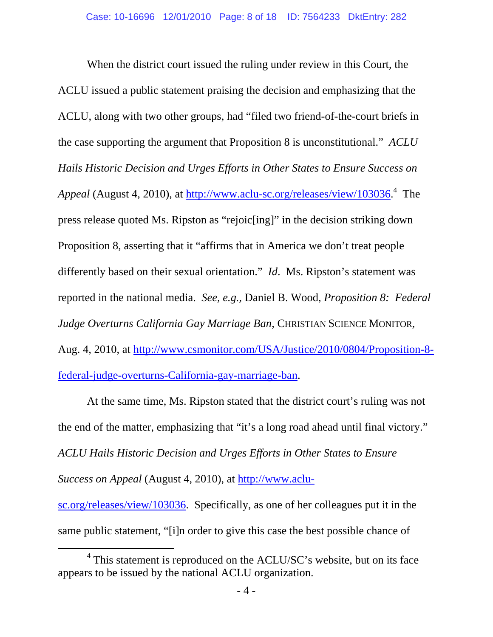When the district court issued the ruling under review in this Court, the ACLU issued a public statement praising the decision and emphasizing that the ACLU, along with two other groups, had "filed two friend-of-the-court briefs in the case supporting the argument that Proposition 8 is unconstitutional." *ACLU Hails Historic Decision and Urges Efforts in Other States to Ensure Success on*  Appeal (August 4, 2010), at http://www.aclu-sc.org/releases/view/103036.<sup>4</sup> The press release quoted Ms. Ripston as "rejoic[ing]" in the decision striking down Proposition 8, asserting that it "affirms that in America we don't treat people differently based on their sexual orientation." *Id*. Ms. Ripston's statement was reported in the national media. *See, e.g.,* Daniel B. Wood, *Proposition 8: Federal Judge Overturns California Gay Marriage Ban*, CHRISTIAN SCIENCE MONITOR, Aug. 4, 2010, at http://www.csmonitor.com/USA/Justice/2010/0804/Proposition-8 federal-judge-overturns-California-gay-marriage-ban.

At the same time, Ms. Ripston stated that the district court's ruling was not the end of the matter, emphasizing that "it's a long road ahead until final victory." *ACLU Hails Historic Decision and Urges Efforts in Other States to Ensure Success on Appeal* (August 4, 2010), at http://www.aclusc.org/releases/view/103036. Specifically, as one of her colleagues put it in the

same public statement, "[i]n order to give this case the best possible chance of

 $\frac{1}{4}$  $4$  This statement is reproduced on the ACLU/SC's website, but on its face appears to be issued by the national ACLU organization.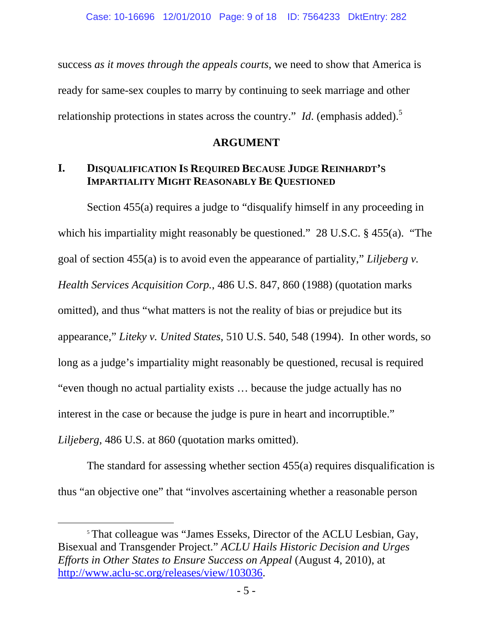success *as it moves through the appeals courts*, we need to show that America is ready for same-sex couples to marry by continuing to seek marriage and other relationship protections in states across the country." *Id.* (emphasis added).<sup>5</sup>

## **ARGUMENT**

## **I. DISQUALIFICATION IS REQUIRED BECAUSE JUDGE REINHARDT'S IMPARTIALITY MIGHT REASONABLY BE QUESTIONED**

Section 455(a) requires a judge to "disqualify himself in any proceeding in which his impartiality might reasonably be questioned." 28 U.S.C. § 455(a). "The goal of section 455(a) is to avoid even the appearance of partiality," *Liljeberg v. Health Services Acquisition Corp.*, 486 U.S. 847, 860 (1988) (quotation marks omitted), and thus "what matters is not the reality of bias or prejudice but its appearance," *Liteky v. United States*, 510 U.S. 540, 548 (1994). In other words, so long as a judge's impartiality might reasonably be questioned, recusal is required "even though no actual partiality exists … because the judge actually has no interest in the case or because the judge is pure in heart and incorruptible." *Liljeberg*, 486 U.S. at 860 (quotation marks omitted).

 The standard for assessing whether section 455(a) requires disqualification is thus "an objective one" that "involves ascertaining whether a reasonable person

<sup>&</sup>lt;sup>5</sup> That colleague was "James Esseks, Director of the ACLU Lesbian, Gay, Bisexual and Transgender Project." *ACLU Hails Historic Decision and Urges Efforts in Other States to Ensure Success on Appeal* (August 4, 2010), at http://www.aclu-sc.org/releases/view/103036.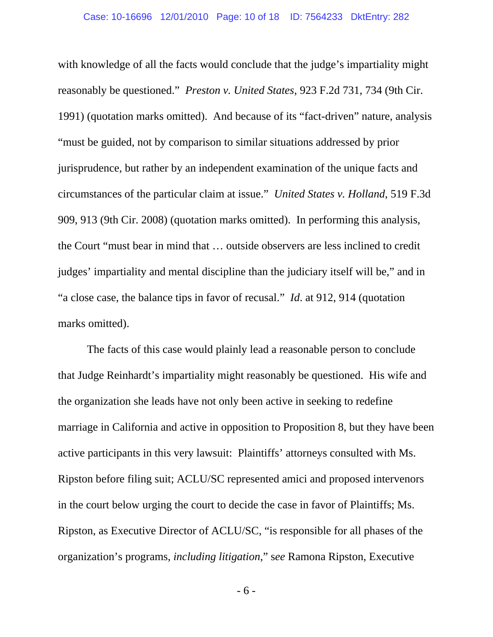with knowledge of all the facts would conclude that the judge's impartiality might reasonably be questioned." *Preston v. United States*, 923 F.2d 731, 734 (9th Cir. 1991) (quotation marks omitted). And because of its "fact-driven" nature, analysis "must be guided, not by comparison to similar situations addressed by prior jurisprudence, but rather by an independent examination of the unique facts and circumstances of the particular claim at issue." *United States v. Holland*, 519 F.3d 909, 913 (9th Cir. 2008) (quotation marks omitted). In performing this analysis, the Court "must bear in mind that … outside observers are less inclined to credit judges' impartiality and mental discipline than the judiciary itself will be," and in "a close case, the balance tips in favor of recusal." *Id*. at 912, 914 (quotation marks omitted).

 The facts of this case would plainly lead a reasonable person to conclude that Judge Reinhardt's impartiality might reasonably be questioned. His wife and the organization she leads have not only been active in seeking to redefine marriage in California and active in opposition to Proposition 8, but they have been active participants in this very lawsuit: Plaintiffs' attorneys consulted with Ms. Ripston before filing suit; ACLU/SC represented amici and proposed intervenors in the court below urging the court to decide the case in favor of Plaintiffs; Ms. Ripston, as Executive Director of ACLU/SC, "is responsible for all phases of the organization's programs, *including litigation*," s*ee* Ramona Ripston, Executive

- 6 -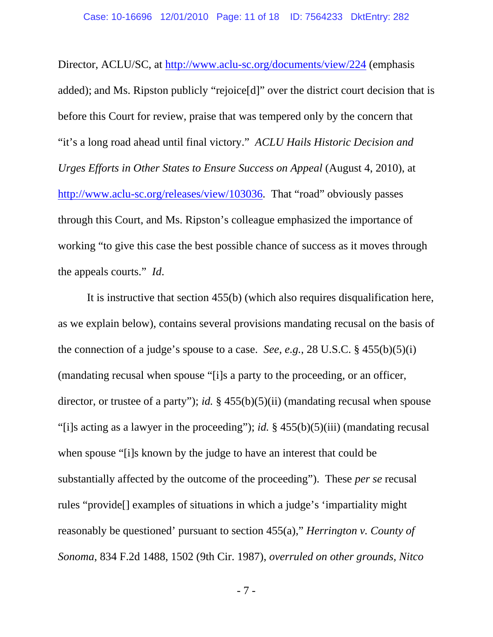Director, ACLU/SC, at http://www.aclu-sc.org/documents/view/224 (emphasis added); and Ms. Ripston publicly "rejoice[d]" over the district court decision that is before this Court for review, praise that was tempered only by the concern that "it's a long road ahead until final victory." *ACLU Hails Historic Decision and Urges Efforts in Other States to Ensure Success on Appeal (August 4, 2010), at* http://www.aclu-sc.org/releases/view/103036. That "road" obviously passes through this Court, and Ms. Ripston's colleague emphasized the importance of working "to give this case the best possible chance of success as it moves through the appeals courts." *Id*.

 It is instructive that section 455(b) (which also requires disqualification here, as we explain below), contains several provisions mandating recusal on the basis of the connection of a judge's spouse to a case. *See, e.g.*, 28 U.S.C. § 455(b)(5)(i) (mandating recusal when spouse "[i]s a party to the proceeding, or an officer, director, or trustee of a party"); *id.* § 455(b)(5)(ii) (mandating recusal when spouse "[i]s acting as a lawyer in the proceeding"); *id.* § 455(b)(5)(iii) (mandating recusal when spouse "[i]s known by the judge to have an interest that could be substantially affected by the outcome of the proceeding"). These *per se* recusal rules "provide[] examples of situations in which a judge's 'impartiality might reasonably be questioned' pursuant to section 455(a)," *Herrington v. County of Sonoma*, 834 F.2d 1488, 1502 (9th Cir. 1987), *overruled on other grounds, Nitco*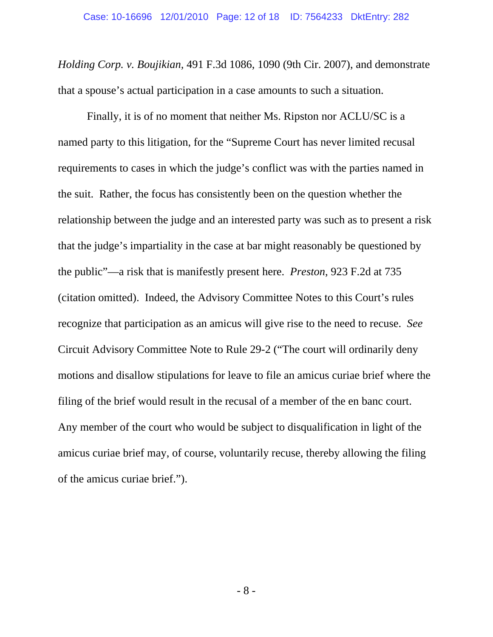*Holding Corp. v. Boujikian,* 491 F.3d 1086, 1090 (9th Cir. 2007), and demonstrate that a spouse's actual participation in a case amounts to such a situation.

 Finally, it is of no moment that neither Ms. Ripston nor ACLU/SC is a named party to this litigation, for the "Supreme Court has never limited recusal requirements to cases in which the judge's conflict was with the parties named in the suit. Rather, the focus has consistently been on the question whether the relationship between the judge and an interested party was such as to present a risk that the judge's impartiality in the case at bar might reasonably be questioned by the public"—a risk that is manifestly present here. *Preston*, 923 F.2d at 735 (citation omitted). Indeed, the Advisory Committee Notes to this Court's rules recognize that participation as an amicus will give rise to the need to recuse. *See*  Circuit Advisory Committee Note to Rule 29-2 ("The court will ordinarily deny motions and disallow stipulations for leave to file an amicus curiae brief where the filing of the brief would result in the recusal of a member of the en banc court. Any member of the court who would be subject to disqualification in light of the amicus curiae brief may, of course, voluntarily recuse, thereby allowing the filing of the amicus curiae brief.").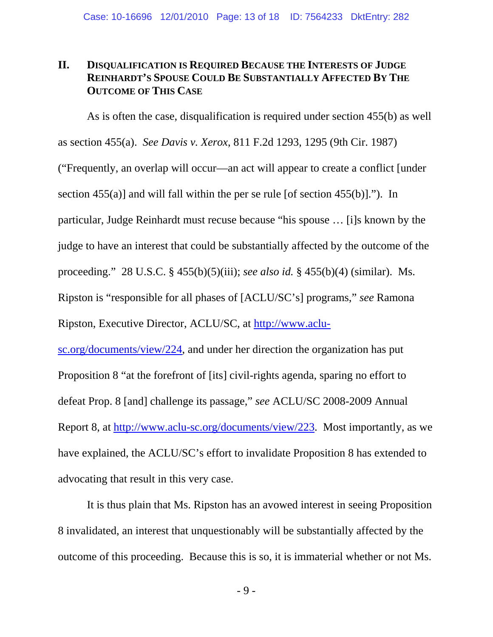## **II. DISQUALIFICATION IS REQUIRED BECAUSE THE INTERESTS OF JUDGE REINHARDT'S SPOUSE COULD BE SUBSTANTIALLY AFFECTED BY THE OUTCOME OF THIS CASE**

As is often the case, disqualification is required under section 455(b) as well as section 455(a). *See Davis v. Xerox*, 811 F.2d 1293, 1295 (9th Cir. 1987) ("Frequently, an overlap will occur—an act will appear to create a conflict [under section  $455(a)$ ] and will fall within the per se rule [of section  $455(b)$ ]."). In particular, Judge Reinhardt must recuse because "his spouse … [i]s known by the judge to have an interest that could be substantially affected by the outcome of the proceeding." 28 U.S.C. § 455(b)(5)(iii); *see also id.* § 455(b)(4) (similar). Ms. Ripston is "responsible for all phases of [ACLU/SC's] programs," *see* Ramona Ripston, Executive Director, ACLU/SC, at http://www.aclu-

sc.org/documents/view/224, and under her direction the organization has put Proposition 8 "at the forefront of [its] civil-rights agenda, sparing no effort to defeat Prop. 8 [and] challenge its passage," *see* ACLU/SC 2008-2009 Annual Report 8, at http://www.aclu-sc.org/documents/view/223. Most importantly, as we have explained, the ACLU/SC's effort to invalidate Proposition 8 has extended to advocating that result in this very case.

 It is thus plain that Ms. Ripston has an avowed interest in seeing Proposition 8 invalidated, an interest that unquestionably will be substantially affected by the outcome of this proceeding. Because this is so, it is immaterial whether or not Ms.

- 9 -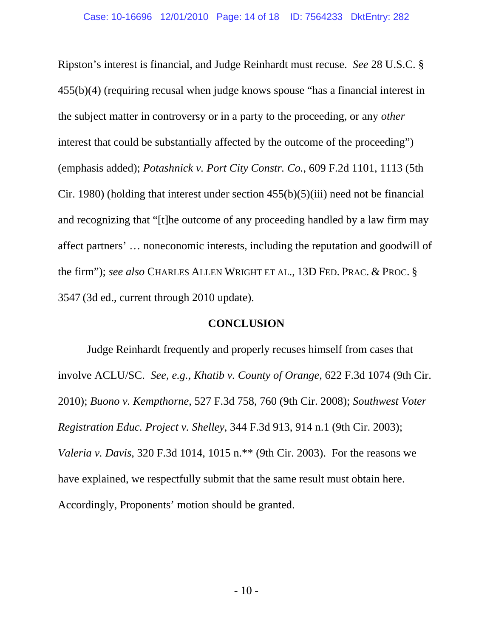Ripston's interest is financial, and Judge Reinhardt must recuse. *See* 28 U.S.C. § 455(b)(4) (requiring recusal when judge knows spouse "has a financial interest in the subject matter in controversy or in a party to the proceeding, or any *other*  interest that could be substantially affected by the outcome of the proceeding") (emphasis added); *Potashnick v. Port City Constr. Co.*, 609 F.2d 1101, 1113 (5th Cir. 1980) (holding that interest under section 455(b)(5)(iii) need not be financial and recognizing that "[t]he outcome of any proceeding handled by a law firm may affect partners' … noneconomic interests, including the reputation and goodwill of the firm"); *see also* CHARLES ALLEN WRIGHT ET AL., 13D FED. PRAC. & PROC. § 3547 (3d ed., current through 2010 update).

## **CONCLUSION**

 Judge Reinhardt frequently and properly recuses himself from cases that involve ACLU/SC. *See, e.g., Khatib v. County of Orange*, 622 F.3d 1074 (9th Cir. 2010); *Buono v. Kempthorne*, 527 F.3d 758, 760 (9th Cir. 2008); *Southwest Voter Registration Educ. Project v. Shelley*, 344 F.3d 913, 914 n.1 (9th Cir. 2003); *Valeria v. Davis*, 320 F.3d 1014, 1015 n.\*\* (9th Cir. 2003). For the reasons we have explained, we respectfully submit that the same result must obtain here. Accordingly, Proponents' motion should be granted.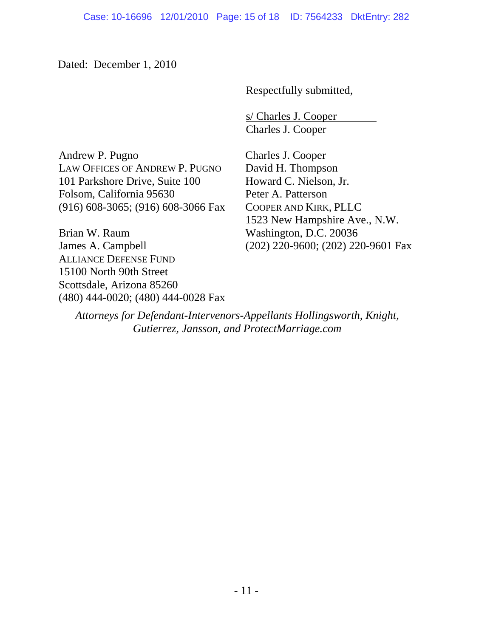Dated: December 1, 2010

Respectfully submitted,

 s/ Charles J. Cooper Charles J. Cooper

Andrew P. Pugno LAW OFFICES OF ANDREW P. PUGNO 101 Parkshore Drive, Suite 100 Folsom, California 95630 (916) 608-3065; (916) 608-3066 Fax

Brian W. Raum James A. Campbell ALLIANCE DEFENSE FUND 15100 North 90th Street Scottsdale, Arizona 85260 (480) 444-0020; (480) 444-0028 Fax Charles J. Cooper David H. Thompson Howard C. Nielson, Jr. Peter A. Patterson COOPER AND KIRK, PLLC 1523 New Hampshire Ave., N.W. Washington, D.C. 20036 (202) 220-9600; (202) 220-9601 Fax

*Attorneys for Defendant-Intervenors-Appellants Hollingsworth, Knight, Gutierrez, Jansson, and ProtectMarriage.com*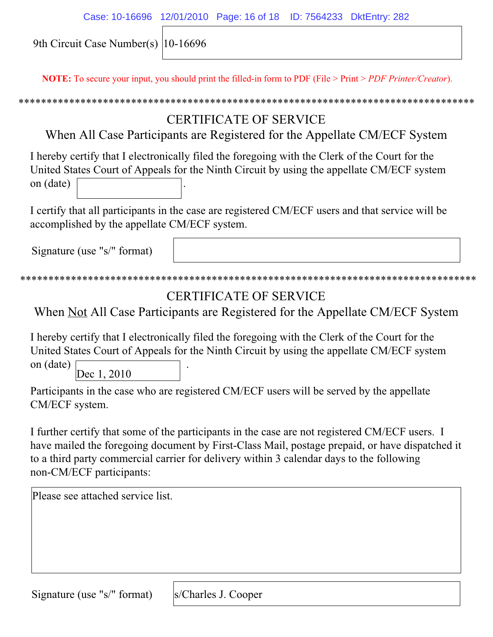| Case: 10-16696 12/01/2010 Page: 16 of 18 ID: 7564233 DktEntry: 282 |  |  |
|--------------------------------------------------------------------|--|--|
|                                                                    |  |  |

9th Circuit Case Number(s) 10-16696

**NOTE:** To secure your input, you should print the filled-in form to PDF (File > Print > *PDF Printer/Creator*).

# CERTIFICATE OF SERVICE

When All Case Participants are Registered for the Appellate CM/ECF System

I hereby certify that I electronically filed the foregoing with the Clerk of the Court for the United States Court of Appeals for the Ninth Circuit by using the appellate CM/ECF system on (date) .

I certify that all participants in the case are registered CM/ECF users and that service will be accomplished by the appellate CM/ECF system.

Signature (use "s/" format)

```
*********************************************************************************
```
# CERTIFICATE OF SERVICE

When Not All Case Participants are Registered for the Appellate CM/ECF System

I hereby certify that I electronically filed the foregoing with the Clerk of the Court for the United States Court of Appeals for the Ninth Circuit by using the appellate CM/ECF system

on (date) . Dec 1, 2010

Participants in the case who are registered CM/ECF users will be served by the appellate CM/ECF system.

I further certify that some of the participants in the case are not registered CM/ECF users. I have mailed the foregoing document by First-Class Mail, postage prepaid, or have dispatched it to a third party commercial carrier for delivery within 3 calendar days to the following non-CM/ECF participants:

Please see attached service list.

Signature (use "s/" format)

s/Charles J. Cooper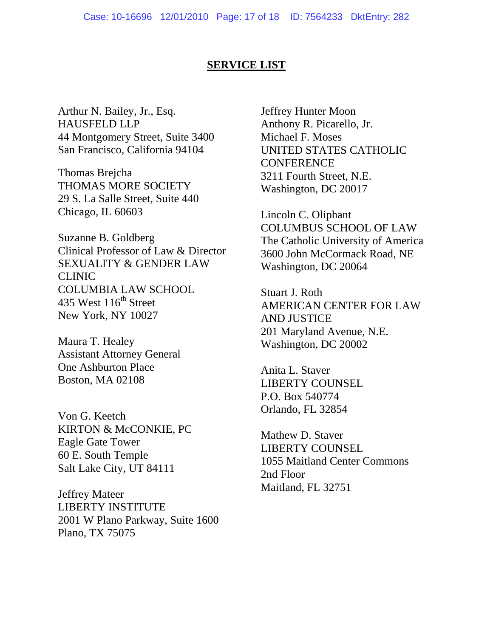#### **SERVICE LIST**

Arthur N. Bailey, Jr., Esq. HAUSFELD LLP 44 Montgomery Street, Suite 3400 San Francisco, California 94104

Thomas Brejcha THOMAS MORE SOCIETY 29 S. La Salle Street, Suite 440 Chicago, IL 60603

Suzanne B. Goldberg Clinical Professor of Law & Director SEXUALITY & GENDER LAW CLINIC COLUMBIA LAW SCHOOL 435 West  $116<sup>th</sup>$  Street New York, NY 10027

Maura T. Healey Assistant Attorney General One Ashburton Place Boston, MA 02108

Von G. Keetch KIRTON & McCONKIE, PC Eagle Gate Tower 60 E. South Temple Salt Lake City, UT 84111

Jeffrey Mateer LIBERTY INSTITUTE 2001 W Plano Parkway, Suite 1600 Plano, TX 75075

Jeffrey Hunter Moon Anthony R. Picarello, Jr. Michael F. Moses UNITED STATES CATHOLIC **CONFERENCE** 3211 Fourth Street, N.E. Washington, DC 20017

Lincoln C. Oliphant COLUMBUS SCHOOL OF LAW The Catholic University of America 3600 John McCormack Road, NE Washington, DC 20064

Stuart J. Roth AMERICAN CENTER FOR LAW AND JUSTICE 201 Maryland Avenue, N.E. Washington, DC 20002

Anita L. Staver LIBERTY COUNSEL P.O. Box 540774 Orlando, FL 32854

Mathew D. Staver LIBERTY COUNSEL 1055 Maitland Center Commons 2nd Floor Maitland, FL 32751